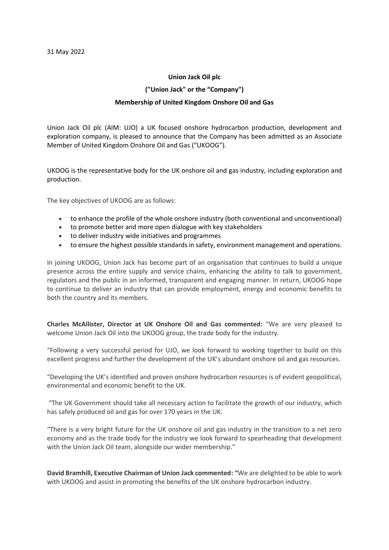## **Union Jack Oil plc**

## **("Union Jack" or the "Company")**

## **Membership of United Kingdom Onshore Oil and Gas**

Union Jack Oil plc (AIM: UJO) a UK focused onshore hydrocarbon production, development and exploration company, is pleased to announce that the Company has been admitted as an Associate Member of United Kingdom Onshore Oil and Gas ("UKOOG").

UKOOG is the representative body for the UK onshore oil and gas industry, including exploration and production.

The key objectives of UKOOG are as follows:

- to enhance the profile of the whole onshore industry (both conventional and unconventional)
- to promote better and more open dialogue with key stakeholders
- to deliver industry wide initiatives and programmes
- to ensure the highest possible standards in safety, environment management and operations.

In joining UKOOG, Union Jack has become part of an organisation that continues to build a unique presence across the entire supply and service chains, enhancing the ability to talk to government, regulators and the public in an informed, transparent and engaging manner. In return, UKOOG hope to continue to deliver an industry that can provide employment, energy and economic benefits to both the country and its members.

**Charles McAllister, Director at UK Onshore Oil and Gas commented:** "We are very pleased to welcome Union Jack Oil into the UKOOG group, the trade body for the industry.

"Following a very successful period for UJO, we look forward to working together to build on this excellent progress and further the development of the UK's abundant onshore oil and gas resources.

"Developing the UK's identified and proven onshore hydrocarbon resources is of evident geopolitical, environmental and economic benefit to the UK.

"The UK Government should take all necessary action to facilitate the growth of our industry, which has safely produced oil and gas for over 170 years in the UK.

"There is a very bright future for the UK onshore oil and gas industry in the transition to a net zero economy and as the trade body for the industry we look forward to spearheading that development with the Union Jack Oil team, alongside our wider membership."

**David Bramhill, Executive Chairman of Union Jack commented: "**We are delighted to be able to work with UKOOG and assist in promoting the benefits of the UK onshore hydrocarbon industry.